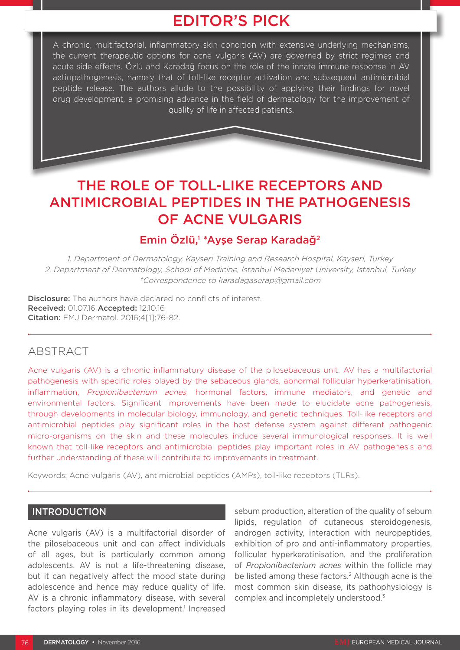## EDITOR'S PICK

A chronic, multifactorial, inflammatory skin condition with extensive underlying mechanisms, the current therapeutic options for acne vulgaris (AV) are governed by strict regimes and acute side effects. Özlü and Karadağ focus on the role of the innate immune response in AV aetiopathogenesis, namely that of toll-like receptor activation and subsequent antimicrobial peptide release. The authors allude to the possibility of applying their findings for novel drug development, a promising advance in the field of dermatology for the improvement of quality of life in affected patients.

# THE ROLE OF TOLL-LIKE RECEPTORS AND ANTIMICROBIAL PEPTIDES IN THE PATHOGENESIS OF ACNE VULGARIS

## Emin Özlü,<sup>1</sup> \*Ayşe Serap Karadağ<sup>2</sup>

1. Department of Dermatology, Kayseri Training and Research Hospital, Kayseri, Turkey 2. Department of Dermatology, School of Medicine, Istanbul Medeniyet University, Istanbul, Turkey \*Correspondence to karadagaserap@gmail.com

Disclosure: The authors have declared no conflicts of interest. Received: 01.07.16 Accepted: 12.10.16 Citation: EMJ Dermatol. 2016;4[1]:76-82.

### ABSTRACT

Acne vulgaris (AV) is a chronic inflammatory disease of the pilosebaceous unit. AV has a multifactorial pathogenesis with specific roles played by the sebaceous glands, abnormal follicular hyperkeratinisation, inflammation, Propionibacterium acnes, hormonal factors, immune mediators, and genetic and environmental factors. Significant improvements have been made to elucidate acne pathogenesis, through developments in molecular biology, immunology, and genetic techniques. Toll-like receptors and antimicrobial peptides play significant roles in the host defense system against different pathogenic micro-organisms on the skin and these molecules induce several immunological responses. It is well known that toll-like receptors and antimicrobial peptides play important roles in AV pathogenesis and further understanding of these will contribute to improvements in treatment.

Keywords: Acne vulgaris (AV), antimicrobial peptides (AMPs), toll-like receptors (TLRs).

#### **INTRODUCTION**

Acne vulgaris (AV) is a multifactorial disorder of the pilosebaceous unit and can affect individuals of all ages, but is particularly common among adolescents. AV is not a life-threatening disease, but it can negatively affect the mood state during adolescence and hence may reduce quality of life. AV is a chronic inflammatory disease, with several factors playing roles in its development.<sup>1</sup> Increased

sebum production, alteration of the quality of sebum lipids, regulation of cutaneous steroidogenesis, androgen activity, interaction with neuropeptides, exhibition of pro and anti-inflammatory properties, follicular hyperkeratinisation, and the proliferation of *Propionibacterium acnes* within the follicle may be listed among these factors.<sup>2</sup> Although acne is the most common skin disease, its pathophysiology is complex and incompletely understood.3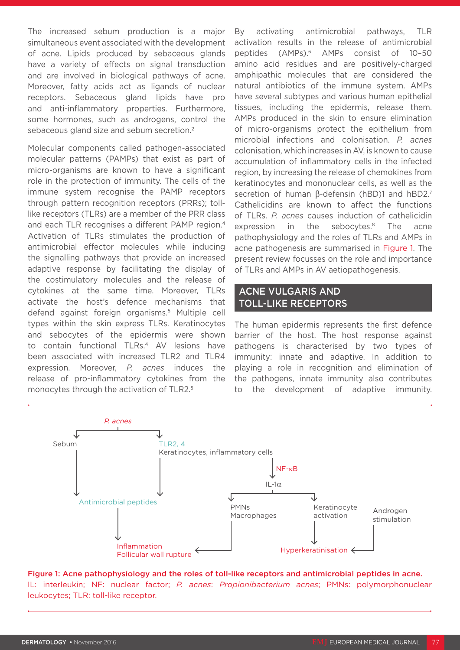The increased sebum production is a major simultaneous event associated with the development of acne. Lipids produced by sebaceous glands have a variety of effects on signal transduction and are involved in biological pathways of acne. Moreover, fatty acids act as ligands of nuclear receptors. Sebaceous gland lipids have pro and anti-inflammatory properties. Furthermore, some hormones, such as androgens, control the sebaceous gland size and sebum secretion.2

Molecular components called pathogen-associated molecular patterns (PAMPs) that exist as part of micro-organisms are known to have a significant role in the protection of immunity. The cells of the immune system recognise the PAMP receptors through pattern recognition receptors (PRRs); tolllike receptors (TLRs) are a member of the PRR class and each TLR recognises a different PAMP region.4 Activation of TLRs stimulates the production of antimicrobial effector molecules while inducing the signalling pathways that provide an increased adaptive response by facilitating the display of the costimulatory molecules and the release of cytokines at the same time. Moreover, TLRs activate the host's defence mechanisms that defend against foreign organisms.5 Multiple cell types within the skin express TLRs. Keratinocytes and sebocytes of the epidermis were shown to contain functional TLRs.<sup>4</sup> AV lesions have been associated with increased TLR2 and TLR4 expression. Moreover, *P. acnes* induces the release of pro-inflammatory cytokines from the monocytes through the activation of TLR2.5

By activating antimicrobial pathways, TLR activation results in the release of antimicrobial peptides (AMPs).6 AMPs consist of 10–50 amino acid residues and are positively-charged amphipathic molecules that are considered the natural antibiotics of the immune system. AMPs have several subtypes and various human epithelial tissues, including the epidermis, release them. AMPs produced in the skin to ensure elimination of micro-organisms protect the epithelium from microbial infections and colonisation. *P. acnes* colonisation, which increases in AV, is known to cause accumulation of inflammatory cells in the infected region, by increasing the release of chemokines from keratinocytes and mononuclear cells, as well as the secretion of human β-defensin (hBD)1 and hBD2.7 Cathelicidins are known to affect the functions of TLRs. *P. acnes* causes induction of cathelicidin expression in the sebocytes.<sup>8</sup> The acne pathophysiology and the roles of TLRs and AMPs in acne pathogenesis are summarised in Figure 1. The present review focusses on the role and importance of TLRs and AMPs in AV aetiopathogenesis.

#### ACNE VULGARIS AND TOLL-LIKE RECEPTORS

The human epidermis represents the first defence barrier of the host. The host response against pathogens is characterised by two types of immunity: innate and adaptive. In addition to playing a role in recognition and elimination of the pathogens, innate immunity also contributes to the development of adaptive immunity.



Figure 1: Acne pathophysiology and the roles of toll-like receptors and antimicrobial peptides in acne. IL: interleukin; NF: nuclear factor; *P. acnes*: *Propionibacterium acnes*; PMNs: polymorphonuclear leukocytes; TLR: toll-like receptor.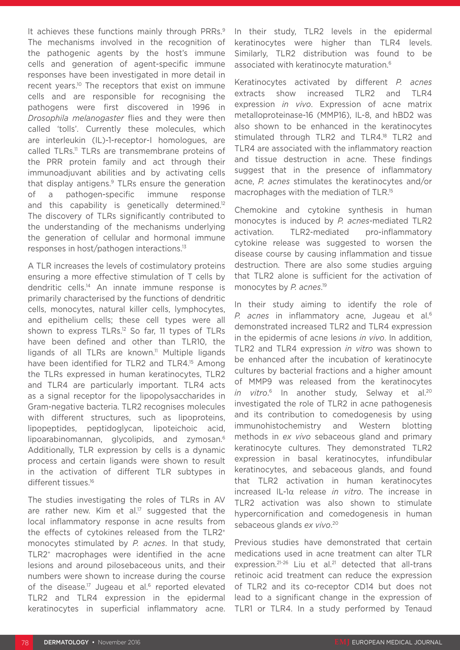It achieves these functions mainly through PRRs.<sup>9</sup> The mechanisms involved in the recognition of the pathogenic agents by the host's immune cells and generation of agent-specific immune responses have been investigated in more detail in recent years.<sup>10</sup> The receptors that exist on immune cells and are responsible for recognising the pathogens were first discovered in 1996 in *Drosophila melanogaster* flies and they were then called 'tolls'. Currently these molecules, which are interleukin (IL)-1-receptor-I homologues, are called TLRs.<sup>11</sup> TLRs are transmembrane proteins of the PRR protein family and act through their immunoadjuvant abilities and by activating cells that display antigens.9 TLRs ensure the generation of a pathogen-specific immune response and this capability is genetically determined.<sup>12</sup> The discovery of TLRs significantly contributed to the understanding of the mechanisms underlying the generation of cellular and hormonal immune responses in host/pathogen interactions.13

A TLR increases the levels of costimulatory proteins ensuring a more effective stimulation of T cells by dendritic cells.14 An innate immune response is primarily characterised by the functions of dendritic cells, monocytes, natural killer cells, lymphocytes, and epithelium cells; these cell types were all shown to express TLRs.<sup>12</sup> So far, 11 types of TLRs have been defined and other than TLR10, the ligands of all TLRs are known.<sup>11</sup> Multiple ligands have been identified for TLR2 and TLR4.<sup>15</sup> Among the TLRs expressed in human keratinocytes, TLR2 and TLR4 are particularly important. TLR4 acts as a signal receptor for the lipopolysaccharides in Gram-negative bacteria. TLR2 recognises molecules with different structures, such as lipoproteins, lipopeptides, peptidoglycan, lipoteichoic acid, lipoarabinomannan, glycolipids, and zymosan.6 Additionally, TLR expression by cells is a dynamic process and certain ligands were shown to result in the activation of different TLR subtypes in different tissues.<sup>16</sup>

The studies investigating the roles of TLRs in AV are rather new. Kim et al.<sup>17</sup> suggested that the local inflammatory response in acne results from the effects of cytokines released from the TLR2+ monocytes stimulated by *P. acnes*. In that study, TLR2+ macrophages were identified in the acne lesions and around pilosebaceous units, and their numbers were shown to increase during the course of the disease.<sup>17</sup> Jugeau et al.<sup>6</sup> reported elevated TLR2 and TLR4 expression in the epidermal keratinocytes in superficial inflammatory acne.

In their study, TLR2 levels in the epidermal keratinocytes were higher than TLR4 levels. Similarly, TLR2 distribution was found to be associated with keratinocyte maturation.6

Keratinocytes activated by different *P. acnes* extracts show increased TLR2 and TLR4 expression *in vivo*. Expression of acne matrix metalloproteinase-16 (MMP16), IL-8, and hBD2 was also shown to be enhanced in the keratinocytes stimulated through TLR2 and TLR4.<sup>18</sup> TLR2 and TLR4 are associated with the inflammatory reaction and tissue destruction in acne. These findings suggest that in the presence of inflammatory acne, *P. acnes* stimulates the keratinocytes and/or macrophages with the mediation of TLR.15

Chemokine and cytokine synthesis in human monocytes is induced by *P. acnes*-mediated TLR2 activation. TLR2-mediated pro-inflammatory cytokine release was suggested to worsen the disease course by causing inflammation and tissue destruction. There are also some studies arguing that TLR2 alone is sufficient for the activation of monocytes by *P. acnes*. 19

In their study aiming to identify the role of *P. acnes* in inflammatory acne, Jugeau et al.6 demonstrated increased TLR2 and TLR4 expression in the epidermis of acne lesions *in vivo*. In addition, TLR2 and TLR4 expression *in vitro* was shown to be enhanced after the incubation of keratinocyte cultures by bacterial fractions and a higher amount of MMP9 was released from the keratinocytes *in vitro*. 6 In another study, Selway et al.20 investigated the role of TLR2 in acne pathogenesis and its contribution to comedogenesis by using immunohistochemistry and Western blotting methods in *ex vivo* sebaceous gland and primary keratinocyte cultures. They demonstrated TLR2 expression in basal keratinocytes, infundibular keratinocytes, and sebaceous glands, and found that TLR2 activation in human keratinocytes increased IL-1α release *in vitro*. The increase in TLR2 activation was also shown to stimulate hypercornification and comedogenesis in human sebaceous glands *ex vivo*. 20

Previous studies have demonstrated that certain medications used in acne treatment can alter TLR expression.<sup>21-26</sup> Liu et al.<sup>21</sup> detected that all-trans retinoic acid treatment can reduce the expression of TLR2 and its co-receptor CD14 but does not lead to a significant change in the expression of TLR1 or TLR4. In a study performed by Tenaud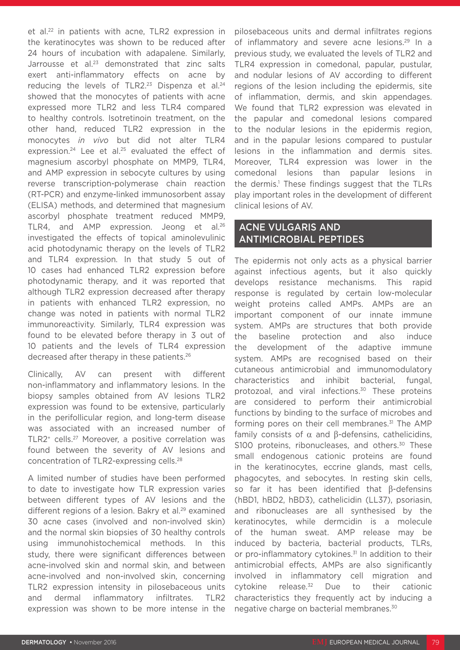et al.<sup>22</sup> in patients with acne, TLR2 expression in the keratinocytes was shown to be reduced after 24 hours of incubation with adapalene. Similarly, Jarrousse et al.<sup>23</sup> demonstrated that zinc salts exert anti-inflammatory effects on acne by reducing the levels of TLR2.<sup>23</sup> Dispenza et al.<sup>24</sup> showed that the monocytes of patients with acne expressed more TLR2 and less TLR4 compared to healthy controls. Isotretinoin treatment, on the other hand, reduced TLR2 expression in the monocytes *in vivo* but did not alter TLR4 expression.<sup>24</sup> Lee et al.<sup>25</sup> evaluated the effect of magnesium ascorbyl phosphate on MMP9, TLR4, and AMP expression in sebocyte cultures by using reverse transcription-polymerase chain reaction (RT-PCR) and enzyme-linked immunosorbent assay (ELISA) methods, and determined that magnesium ascorbyl phosphate treatment reduced MMP9, TLR4, and AMP expression. Jeong et al.<sup>26</sup> investigated the effects of topical aminolevulinic acid photodynamic therapy on the levels of TLR2 and TLR4 expression. In that study 5 out of 10 cases had enhanced TLR2 expression before photodynamic therapy, and it was reported that although TLR2 expression decreased after therapy in patients with enhanced TLR2 expression, no change was noted in patients with normal TLR2 immunoreactivity. Similarly, TLR4 expression was found to be elevated before therapy in 3 out of 10 patients and the levels of TLR4 expression decreased after therapy in these patients.26

Clinically, AV can present with different non-inflammatory and inflammatory lesions. In the biopsy samples obtained from AV lesions TLR2 expression was found to be extensive, particularly in the perifollicular region, and long-term disease was associated with an increased number of TLR2+ cells.27 Moreover, a positive correlation was found between the severity of AV lesions and concentration of TLR2-expressing cells.28

A limited number of studies have been performed to date to investigate how TLR expression varies between different types of AV lesions and the different regions of a lesion. Bakry et al.<sup>29</sup> examined 30 acne cases (involved and non-involved skin) and the normal skin biopsies of 30 healthy controls using immunohistochemical methods. In this study, there were significant differences between acne-involved skin and normal skin, and between acne-involved and non-involved skin, concerning TLR2 expression intensity in pilosebaceous units and dermal inflammatory infiltrates. TLR2 expression was shown to be more intense in the

pilosebaceous units and dermal infiltrates regions of inflammatory and severe acne lesions.<sup>29</sup> In a previous study, we evaluated the levels of TLR2 and TLR4 expression in comedonal, papular, pustular, and nodular lesions of AV according to different regions of the lesion including the epidermis, site of inflammation, dermis, and skin appendages. We found that TLR2 expression was elevated in the papular and comedonal lesions compared to the nodular lesions in the epidermis region, and in the papular lesions compared to pustular lesions in the inflammation and dermis sites. Moreover, TLR4 expression was lower in the comedonal lesions than papular lesions in the dermis.1 These findings suggest that the TLRs play important roles in the development of different clinical lesions of AV.

#### ACNE VULGARIS AND ANTIMICROBIAL PEPTIDES

The epidermis not only acts as a physical barrier against infectious agents, but it also quickly develops resistance mechanisms. This rapid response is regulated by certain low-molecular weight proteins called AMPs. AMPs are an important component of our innate immune system. AMPs are structures that both provide the baseline protection and also induce the development of the adaptive immune system. AMPs are recognised based on their cutaneous antimicrobial and immunomodulatory characteristics and inhibit bacterial, fungal, protozoal, and viral infections.30 These proteins are considered to perform their antimicrobial functions by binding to the surface of microbes and forming pores on their cell membranes.<sup>31</sup> The AMP family consists of α and β-defensins, cathelicidins, S100 proteins, ribonucleases, and others.<sup>30</sup> These small endogenous cationic proteins are found in the keratinocytes, eccrine glands, mast cells, phagocytes, and sebocytes. In resting skin cells, so far it has been identified that β-defensins (hBD1, hBD2, hBD3), cathelicidin (LL37), psoriasin, and ribonucleases are all synthesised by the keratinocytes, while dermcidin is a molecule of the human sweat. AMP release may be induced by bacteria, bacterial products, TLRs, or pro-inflammatory cytokines.<sup>31</sup> In addition to their antimicrobial effects, AMPs are also significantly involved in inflammatory cell migration and  $cy$ tokine release. $32$  Due to their cationic characteristics they frequently act by inducing a negative charge on bacterial membranes.30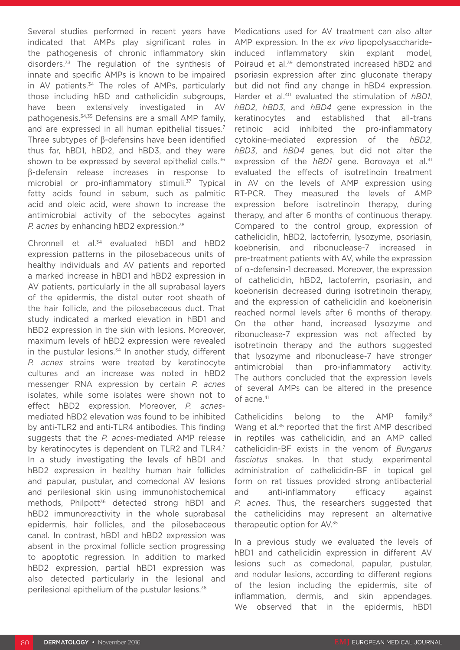Several studies performed in recent years have indicated that AMPs play significant roles in the pathogenesis of chronic inflammatory skin disorders.33 The regulation of the synthesis of innate and specific AMPs is known to be impaired in AV patients.<sup>34</sup> The roles of AMPs, particularly those including hBD and cathelicidin subgroups, have been extensively investigated in AV pathogenesis.34,35 Defensins are a small AMP family, and are expressed in all human epithelial tissues.<sup>7</sup> Three subtypes of β-defensins have been identified thus far, hBD1, hBD2, and hBD3, and they were shown to be expressed by several epithelial cells.<sup>36</sup> β-defensin release increases in response to microbial or pro-inflammatory stimuli.<sup>37</sup> Typical fatty acids found in sebum, such as palmitic acid and oleic acid, were shown to increase the antimicrobial activity of the sebocytes against *P. acnes* by enhancing hBD2 expression.<sup>38</sup>

Chronnell et al.<sup>34</sup> evaluated hBD1 and hBD2 expression patterns in the pilosebaceous units of healthy individuals and AV patients and reported a marked increase in hBD1 and hBD2 expression in AV patients, particularly in the all suprabasal layers of the epidermis, the distal outer root sheath of the hair follicle, and the pilosebaceous duct. That study indicated a marked elevation in hBD1 and hBD2 expression in the skin with lesions. Moreover, maximum levels of hBD2 expression were revealed in the pustular lesions. $34$  In another study, different *P. acnes* strains were treated by keratinocyte cultures and an increase was noted in hBD2 messenger RNA expression by certain *P. acnes* isolates, while some isolates were shown not to effect hBD2 expression. Moreover, *P. acnes*mediated hBD2 elevation was found to be inhibited by anti-TLR2 and anti-TLR4 antibodies. This finding suggests that the *P. acnes*-mediated AMP release by keratinocytes is dependent on TLR2 and TLR4.<sup>7</sup> In a study investigating the levels of hBD1 and hBD2 expression in healthy human hair follicles and papular, pustular, and comedonal AV lesions and perilesional skin using immunohistochemical methods, Philpott<sup>36</sup> detected strong hBD1 and hBD2 immunoreactivity in the whole suprabasal epidermis, hair follicles, and the pilosebaceous canal. In contrast, hBD1 and hBD2 expression was absent in the proximal follicle section progressing to apoptotic regression. In addition to marked hBD2 expression, partial hBD1 expression was also detected particularly in the lesional and perilesional epithelium of the pustular lesions.36

Medications used for AV treatment can also alter AMP expression. In the *ex vivo* lipopolysaccharideinduced inflammatory skin explant model, Poiraud et al.<sup>39</sup> demonstrated increased hBD2 and psoriasin expression after zinc gluconate therapy but did not find any change in hBD4 expression. Harder et al.40 evaluated the stimulation of *hBD1*, *hBD2*, *hBD3*, and *hBD4* gene expression in the keratinocytes and established that all-trans retinoic acid inhibited the pro-inflammatory cytokine-mediated expression of the *hBD2*, *hBD3*, and *hBD4* genes, but did not alter the expression of the *hBD1* gene. Borovaya et al.<sup>41</sup> evaluated the effects of isotretinoin treatment in AV on the levels of AMP expression using RT-PCR. They measured the levels of AMP expression before isotretinoin therapy, during therapy, and after 6 months of continuous therapy. Compared to the control group, expression of cathelicidin, hBD2, lactoferrin, lysozyme, psoriasin, koebnerisin, and ribonuclease-7 increased in pre-treatment patients with AV, while the expression of α-defensin-1 decreased. Moreover, the expression of cathelicidin, hBD2, lactoferrin, psoriasin, and koebnerisin decreased during isotretinoin therapy, and the expression of cathelicidin and koebnerisin reached normal levels after 6 months of therapy. On the other hand, increased lysozyme and ribonuclease-7 expression was not affected by isotretinoin therapy and the authors suggested that lysozyme and ribonuclease-7 have stronger antimicrobial than pro-inflammatory activity. The authors concluded that the expression levels of several AMPs can be altered in the presence of acne.<sup>41</sup>

Cathelicidins belong to the AMP family.8 Wang et al.<sup>35</sup> reported that the first AMP described in reptiles was cathelicidin, and an AMP called cathelicidin-BF exists in the venom of *Bungarus fasciatus* snakes. In that study, experimental administration of cathelicidin-BF in topical gel form on rat tissues provided strong antibacterial and anti-inflammatory efficacy against *P. acnes*. Thus, the researchers suggested that the cathelicidins may represent an alternative therapeutic option for AV.35

In a previous study we evaluated the levels of hBD1 and cathelicidin expression in different AV lesions such as comedonal, papular, pustular, and nodular lesions, according to different regions of the lesion including the epidermis, site of inflammation, dermis, and skin appendages. We observed that in the epidermis, hBD1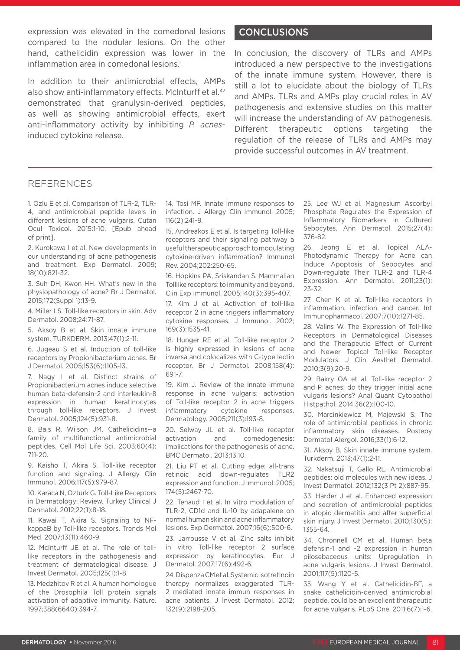expression was elevated in the comedonal lesions compared to the nodular lesions. On the other hand, cathelicidin expression was lower in the inflammation area in comedonal lesions.<sup>1</sup>

In addition to their antimicrobial effects, AMPs also show anti-inflammatory effects. McInturff et al.<sup>42</sup> demonstrated that granulysin-derived peptides, as well as showing antimicrobial effects, exert anti-inflammatory activity by inhibiting *P. acnes*induced cytokine release.

#### CONCLUSIONS

In conclusion, the discovery of TLRs and AMPs introduced a new perspective to the investigations of the innate immune system. However, there is still a lot to elucidate about the biology of TLRs and AMPs. TLRs and AMPs play crucial roles in AV pathogenesis and extensive studies on this matter will increase the understanding of AV pathogenesis. Different therapeutic options targeting the regulation of the release of TLRs and AMPs may provide successful outcomes in AV treatment.

#### REFERENCES

1. Ozlu E et al. Comparison of TLR-2, TLR-4, and antimicrobial peptide levels in different lesions of acne vulgaris. Cutan Ocul Toxicol. 2015:1-10. [Epub ahead of print].

2. Kurokawa I et al. New developments in our understanding of acne pathogenesis and treatment. Exp Dermatol. 2009; 18(10):821-32.

3. Suh DH, Kwon HH. What's new in the physiopathology of acne? Br J Dermatol. 2015;172(Suppl 1):13-9.

4. Miller LS. Toll-like receptors in skin. Adv Dermatol. 2008;24:71-87.

5. Aksoy B et al. Skin innate immune system. TURKDERM. 2013;47(1):2-11.

6. Jugeau S et al. Induction of toll-like receptors by Propionibacterium acnes. Br J Dermatol. 2005;153(6):1105-13.

7. Nagy I et al. Distinct strains of Propionibacterium acnes induce selective human beta-defensin-2 and interleukin-8 expression in human keratinocytes through toll-like receptors. J Invest Dermatol. 2005;124(5):931-8.

8. Bals R, Wilson JM. Cathelicidins--a family of multifunctional antimicrobial peptides. Cell Mol Life Sci. 2003;60(4): 711-20.

9. Kaisho T, Akira S. Toll-like receptor function and signaling. J Allergy Clin Immunol. 2006;117(5):979-87.

10. Karaca N, Ozturk G. Toll-Like Receptors in Dermatology: Review. Turkey Clinical J Dermatol. 2012;22(1):8-18.

11. Kawai T, Akira S. Signaling to NFkappaB by Toll-like receptors. Trends Mol Med. 2007;13(11):460-9.

12. McInturff JE et al. The role of tolllike receptors in the pathogenesis and treatment of dermatological disease. J Invest Dermatol. 2005;125(1):1-8.

13. Medzhitov R et al. A human homologue of the Drosophila Toll protein signals activation of adaptive immunity. Nature. 1997;388(6640):394-7.

14. Tosi MF. Innate immune responses to infection. J Allergy Clin Immunol. 2005; 116(2):241-9.

15. Andreakos E et al. Is targeting Toll-like receptors and their signaling pathway a useful therapeutic approach to modulating cytokine-driven inflammation? Immunol Rev. 2004;202:250-65.

16. Hopkins PA, Sriskandan S. Mammalian Tolllike receptors: to immunity and beyond. Clin Exp Immunol. 2005;140(3):395-407.

17. Kim J et al. Activation of toll-like receptor 2 in acne triggers inflammatory cytokine responses. J Immunol. 2002; 169(3):1535-41.

18. Hunger RE et al. Toll-like receptor 2 is highly expressed in lesions of acne inversa and colocalizes with C-type lectin receptor. Br J Dermatol. 2008;158(4): 691-7.

19. Kim J. Review of the innate immune response in acne vulgaris: activation of Toll-like receptor 2 in acne triggers inflammatory cytokine responses. Dermatology. 2005;211(3):193-8.

20. Selway JL et al. Toll-like receptor activation and comedogenesis: implications for the pathogenesis of acne. BMC Dermatol. 2013;13:10.

21. Liu PT et al. Cutting edge: all-trans retinoic acid down-regulates TLR2 expression and function. J Immunol. 2005; 174(5):2467-70.

22. Tenaud I et al. In vitro modulation of TLR-2, CD1d and IL-10 by adapalene on normal human skin and acne inflammatory lesions. Exp Dermatol. 2007;16(6):500-6.

23. Jarrousse V et al. Zinc salts inhibit in vitro Toll-like receptor 2 surface expression by keratinocytes. Eur J Dermatol. 2007;17(6):492-6.

24. Dispenza CM et al. Systemic isotretinoin therapy normalizes exaggerated TLR-2 mediated innate immun responses in acne patients. J İnvest Dermatol. 2012; 132(9):2198-205.

25. Lee WJ et al. Magnesium Ascorbyl Phosphate Regulates the Expression of Inflammatory Biomarkers in Cultured Sebocytes. Ann Dermatol. 2015;27(4): 376-82.

26. Jeong E et al. Topical ALA-Photodynamic Therapy for Acne can İnduce Apoptosis of Sebocytes and Down-regulate Their TLR-2 and TLR-4 Expression. Ann Dermatol. 2011;23(1): 23-32.

27. Chen K et al. Toll-like receptors in inflammation, infection and cancer. Int Immunopharmacol. 2007;7(10):1271-85.

28. Valins W. The Expression of Toll-like Receptors in Dermatological Diseases and the Therapeutic Effect of Current and Newer Topical Toll-like Receptor Modulators. J Clin Aesthet Dermatol. 2010;3(9):20-9.

29. Bakry OA et al. Toll-like receptor 2 and P. acnes: do they trigger initial acne vulgaris lesions? Anal Quant Cytopathol Histpathol. 2014;36(2):100-10.

30. Marcinkiewicz M, Majewski S. The role of antimicrobial peptides in chronic inflammatory skin diseases. Postepy Dermatol Alergol. 2016;33(1):6-12.

31. Aksoy B. Skin innate immune system. Turkderm. 2013;47(1):2-11.

32. Nakatsuji T, Gallo RL. Antimicrobial peptides: old molecules with new ideas. J Invest Dermatol. 2012;132(3 Pt 2):887-95.

33. Harder J et al. Enhanced expression and secretion of antimicrobial peptides in atopic dermatitis and after superficial skin injury. J Invest Dermatol. 2010;130(5): 1355-64.

34. Chronnell CM et al. Human beta defensin-1 and -2 expression in human pilosebaceous units: Upregulation in acne vulgaris lesions. J Invest Dermatol. 2001;117(5):1120-5.

35. Wang Y et al. Cathelicidin-BF, a snake cathelicidin-derived antimicrobial peptide, could be an excellent therapeutic for acne vulgaris. PLoS One. 2011;6(7):1-6.